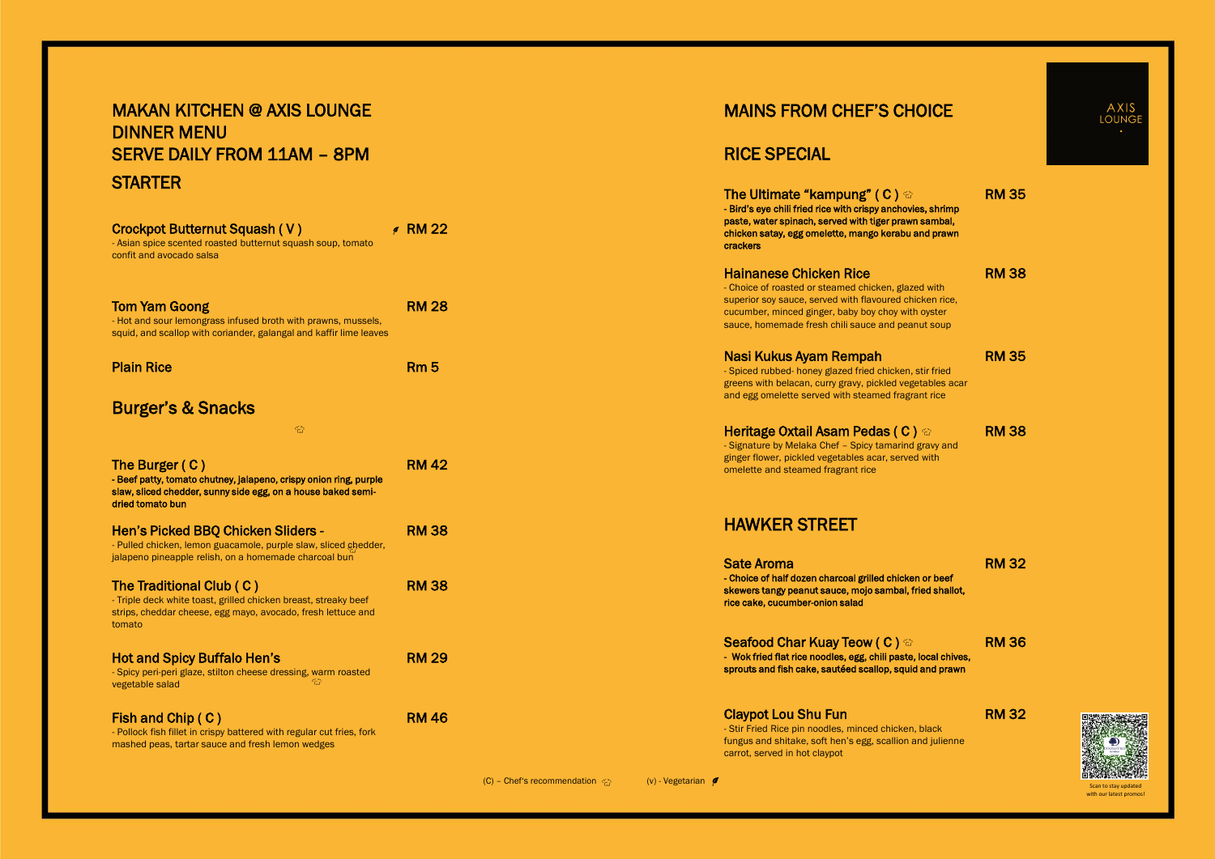## MAINS FROM CHEF'S CHOICE

# RICE SPECIAL

The Ultimate "kampung" (C)  $\odot$ - Bird's eye chili fried rice with crispy anchovie paste, water spinach, served with tiger prawn chicken satay, egg omelette, mango kerabu and prawn crackers

- Choice of roasted or steamed chicken, glazed superior soy sauce, served with flavoured chick cucumber, minced ginger, baby boy choy with sauce, homemade fresh chili sauce and peanut soup

|           | <b>RM 35</b> |
|-----------|--------------|
| s, shrimp |              |
| sambal,   |              |
| nd prawn  |              |
|           |              |

| d with    |  |
|-----------|--|
| ken rice, |  |
| ovster    |  |
| HCOIII    |  |

### Hainanese Chicken Rice

RM 38

### Nasi Kukus Ayam Rempah

Seafood Char Kuay Teow (C)  $\Leftrightarrow$ - Wok fried flat rice noodles, egg, chili paste, local chives, sprouts and fish cake, sautéed scallop, squid and prawn

- Spiced rubbed- honey glazed fried chicken, stir fried greens with belacan, curry gravy, pickled vegetables acar and egg omelette served with steamed fragrant rice

### **Heritage Oxtail Asam Pedas (C)**  $\odot$

RM 35

# MAKAN KITCHEN @ AXIS LOUNGE DINNER MENU SERVE DAILY FROM 11AM – 8PM **STARTER**

- Signature by Melaka Chef – Spicy tamarind gravy and ginger flower, pickled vegetables acar, served with omelette and steamed fragrant rice

RM 38

## HAWKER STREET

## Sate Aroma - Choice of half dozen charcoal grilled chicken or beef skewers tangy peanut sauce, mojo sambal, fried shallot, rice cake, cucumber-onion salad

RM 32

RM 36

### Claypot Lou Shu Fun

- Stir Fried Rice pin noodles, minced chicken, black fungus and shitake, soft hen's egg, scallion and julienne carrot, served in hot claypot

(C) – Chef's recommendation  $\bigcirc$  (v) - Vegetarian  $\neq$ 



RM 32

| Crockpot Butternut Squash (V)<br>- Asian spice scented roasted butternut squash soup, tomato<br>confit and avocado salsa                                                | $\epsilon$ RM 22 |
|-------------------------------------------------------------------------------------------------------------------------------------------------------------------------|------------------|
| <b>Tom Yam Goong</b><br>- Hot and sour lemongrass infused broth with prawns, mussels,<br>squid, and scallop with coriander, galangal and kaffir lime leaves             | <b>RM 28</b>     |
| <b>Plain Rice</b>                                                                                                                                                       | Rm <sub>5</sub>  |
| <b>Burger's &amp; Snacks</b>                                                                                                                                            |                  |
| €                                                                                                                                                                       |                  |
| The Burger (C)<br>- Beef patty, tomato chutney, jalapeno, crispy onion ring, purple<br>slaw, sliced chedder, sunny side egg, on a house baked semi-<br>dried tomato bun | <b>RM 42</b>     |
| <b>Hen's Picked BBQ Chicken Sliders -</b><br>- Pulled chicken, lemon guacamole, purple slaw, sliced chedder,<br>jalapeno pineapple relish, on a homemade charcoal bun   | <b>RM38</b>      |
| The Traditional Club (C)<br>- Triple deck white toast, grilled chicken breast, streaky beef<br>strips, cheddar cheese, egg mayo, avocado, fresh lettuce and<br>tomato   | <b>RM38</b>      |
| <b>Hot and Spicy Buffalo Hen's</b><br>- Spicy peri-peri glaze, stilton cheese dressing, warm roasted<br>vegetable salad                                                 | <b>RM 29</b>     |
| Fish and Chip (C)<br>- Pollock fish fillet in crispy battered with regular cut fries, fork<br>mashed peas, tartar sauce and fresh lemon wedges                          | <b>RM 46</b>     |

Scan to stay updated with our latest promos!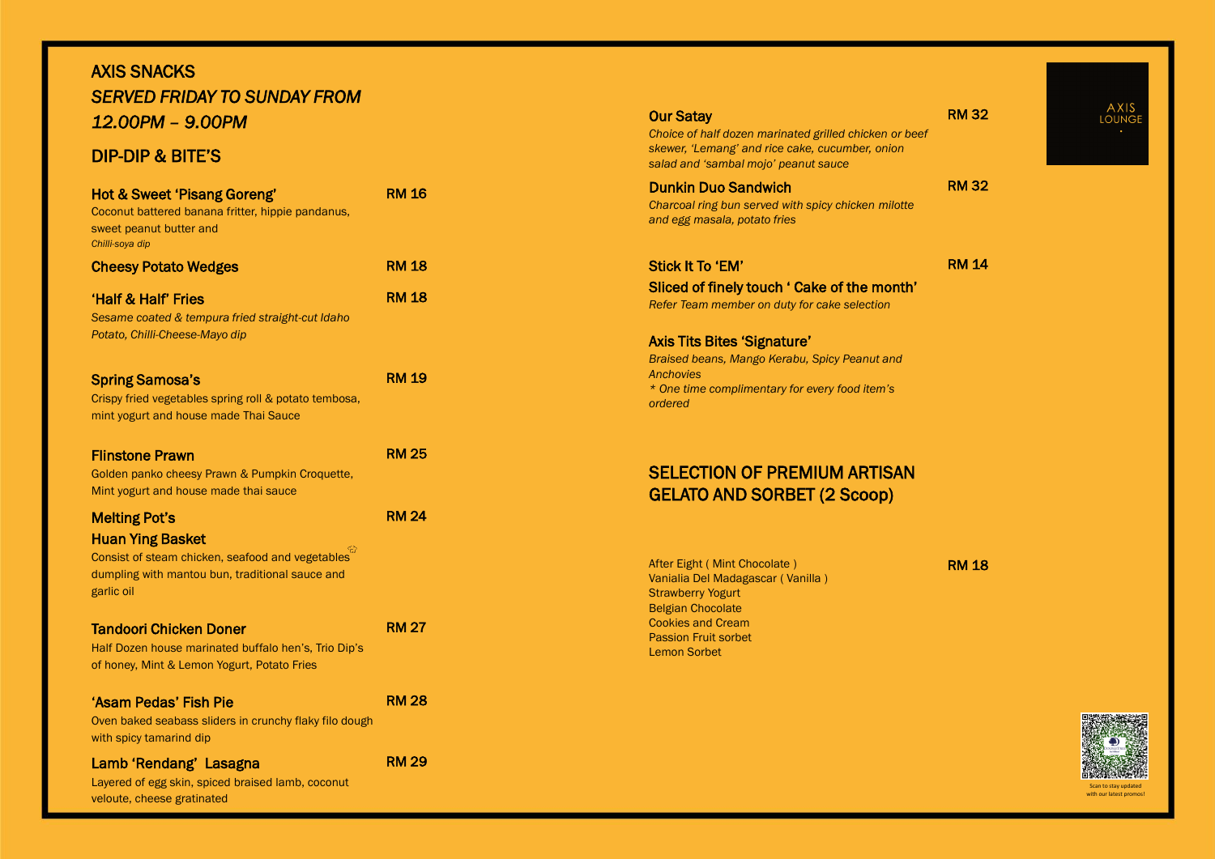Scan to stay updated with our latest promos!



### Our Satay

*Choice of half dozen marinated grilled chicken or beef skewer, 'Lemang' and rice cake, cucumber, onion salad and 'sambal mojo' peanut sauce*

RM 32

### Dunkin Duo Sandwich

*Charcoal ring bun served with spicy chicken milotte and egg masala, potato fries* 

RM 32

## Stick It To 'EM'

Sliced of finely touch ' Cake of the month'

*Refer Team member on duty for cake selection*

RM 14

### Axis Tits Bites 'Signature'

*Braised beans, Mango Kerabu, Spicy Peanut and Anchovies*

*\* One time complimentary for every food item's ordered*

# SELECTION OF PREMIUM ARTISAN GELATO AND SORBET (2 Scoop)

After Eight ( Mint Chocolate ) Vanialia Del Madagascar ( Vanilla ) **Strawberry Yogurt** Belgian Chocolate Cookies and Cream Passion Fruit sorbet Lemon Sorbet

RM 18



# AXIS SNACKS *SERVED FRIDAY TO SUNDAY FROM 12.00PM – 9.00PM*

# DIP -DIP & BITE'S

| <b>Hot &amp; Sweet 'Pisang Goreng'</b><br>Coconut battered banana fritter, hippie pandanus,<br>sweet peanut butter and<br>Chilli-soya dip                            | <b>RM 16</b> |
|----------------------------------------------------------------------------------------------------------------------------------------------------------------------|--------------|
| <b>Cheesy Potato Wedges</b>                                                                                                                                          | <b>RM 18</b> |
| <b>Half &amp; Half' Fries</b><br>Sesame coated & tempura fried straight-cut Idaho<br>Potato, Chilli-Cheese-Mayo dip                                                  | <b>RM 18</b> |
| <b>Spring Samosa's</b><br>Crispy fried vegetables spring roll & potato tembosa,<br>mint yogurt and house made Thai Sauce                                             | <b>RM 19</b> |
| <b>Flinstone Prawn</b><br>Golden panko cheesy Prawn & Pumpkin Croquette,<br>Mint yogurt and house made thai sauce                                                    | <b>RM 25</b> |
| <b>Melting Pot's</b><br><b>Huan Ying Basket</b><br>Consist of steam chicken, seafood and vegetables<br>dumpling with mantou bun, traditional sauce and<br>garlic oil | <b>RM 24</b> |
| <b>Tandoori Chicken Doner</b><br>Half Dozen house marinated buffalo hen's, Trio Dip's<br>of honey, Mint & Lemon Yogurt, Potato Fries                                 | <b>RM 27</b> |
| 'Asam Pedas' Fish Pie<br>Oven baked seabass sliders in crunchy flaky filo dough<br>with spicy tamarind dip                                                           | <b>RM 28</b> |
| Lamb 'Rendang' Lasagna<br>Layered of egg skin, spiced braised lamb, coconut<br>veloute, cheese gratinated                                                            | <b>RM 29</b> |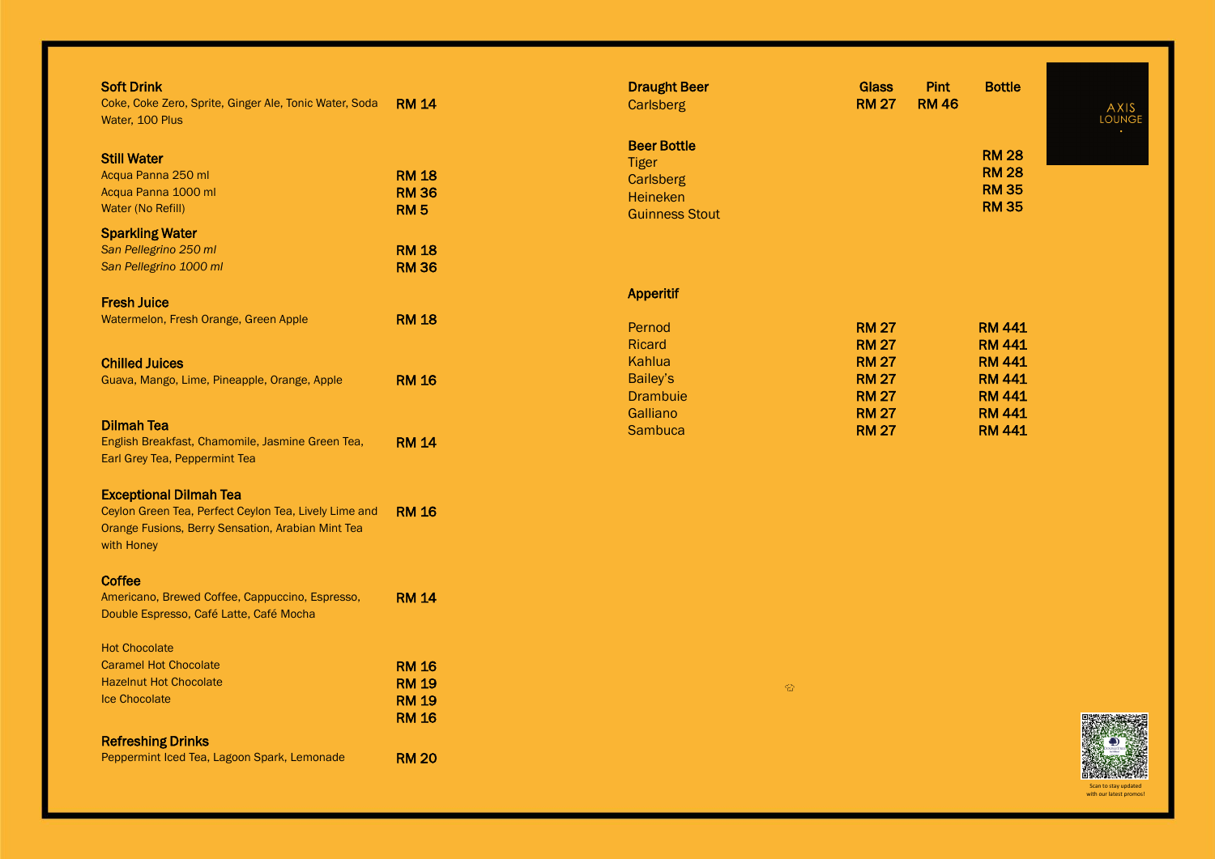Scan to stay updated with our latest promos!

| <b>Soft Drink</b><br>Coke, Coke Zero, Sprite, Ginger Ale, Tonic Water, Soda<br>Water, 100 Plus                                                            | <b>RM 14</b>                                                 | <b>Draught Beer</b><br><b>Carlsberg</b>                                   | <b>Glass</b><br><b>RM 27</b>                                                |
|-----------------------------------------------------------------------------------------------------------------------------------------------------------|--------------------------------------------------------------|---------------------------------------------------------------------------|-----------------------------------------------------------------------------|
| <b>Still Water</b><br>Acqua Panna 250 ml<br>Acqua Panna 1000 ml<br>Water (No Refill)                                                                      | <b>RM 18</b><br><b>RM36</b><br><b>RM5</b>                    | <b>Beer Bottle</b><br><b>Tiger</b><br><b>Carlsberg</b><br><b>Heineken</b> |                                                                             |
| <b>Sparkling Water</b><br>San Pellegrino 250 ml<br>San Pellegrino 1000 ml                                                                                 | <b>RM 18</b><br><b>RM 36</b>                                 | <b>Guinness Stout</b>                                                     |                                                                             |
| <b>Fresh Juice</b><br>Watermelon, Fresh Orange, Green Apple                                                                                               | <b>RM 18</b>                                                 | <b>Apperitif</b><br>Pernod                                                | <b>RM 27</b>                                                                |
| <b>Chilled Juices</b><br>Guava, Mango, Lime, Pineapple, Orange, Apple                                                                                     | <b>RM 16</b>                                                 | Ricard<br>Kahlua<br>Bailey's<br><b>Drambuie</b>                           | <b>RM 27</b><br><b>RM 27</b><br><b>RM 27</b><br><b>RM 27</b>                |
| <b>Dilmah Tea</b><br>English Breakfast, Chamomile, Jasmine Green Tea,<br>Earl Grey Tea, Peppermint Tea                                                    | <b>RM 14</b>                                                 | Galliano<br><b>Sambuca</b>                                                | <b>RM 27</b><br><b>RM 27</b>                                                |
| <b>Exceptional Dilmah Tea</b><br>Ceylon Green Tea, Perfect Ceylon Tea, Lively Lime and<br>Orange Fusions, Berry Sensation, Arabian Mint Tea<br>with Honey | <b>RM 16</b>                                                 |                                                                           |                                                                             |
| Coffee<br>Americano, Brewed Coffee, Cappuccino, Espresso,<br>Double Espresso, Café Latte, Café Mocha                                                      | <b>RM 14</b>                                                 |                                                                           |                                                                             |
| <b>Hot Chocolate</b><br><b>Caramel Hot Chocolate</b><br><b>Hazelnut Hot Chocolate</b><br><b>Ice Chocolate</b>                                             | <b>RM 16</b><br><b>RM 19</b><br><b>RM 19</b><br><b>RM 16</b> |                                                                           | $\left\langle \frac{\partial \mathbf{y}}{\partial \mathbf{x}}\right\rangle$ |
| <b>Refreshing Drinks</b><br>Peppermint Iced Tea, Lagoon Spark, Lemonade                                                                                   | <b>RM 20</b>                                                 |                                                                           |                                                                             |

| <b>Pint</b><br><b>RM 46</b> | <b>Bottle</b> | AXIS<br><b>LOUNGE</b><br>٠ |
|-----------------------------|---------------|----------------------------|
|                             | <b>RM 28</b>  |                            |
|                             | <b>RM 28</b>  |                            |
|                             | <b>RM 35</b>  |                            |

RM 35



RM 441 RM 441 RM 441 RM 441 RM 441 RM 441 RM 441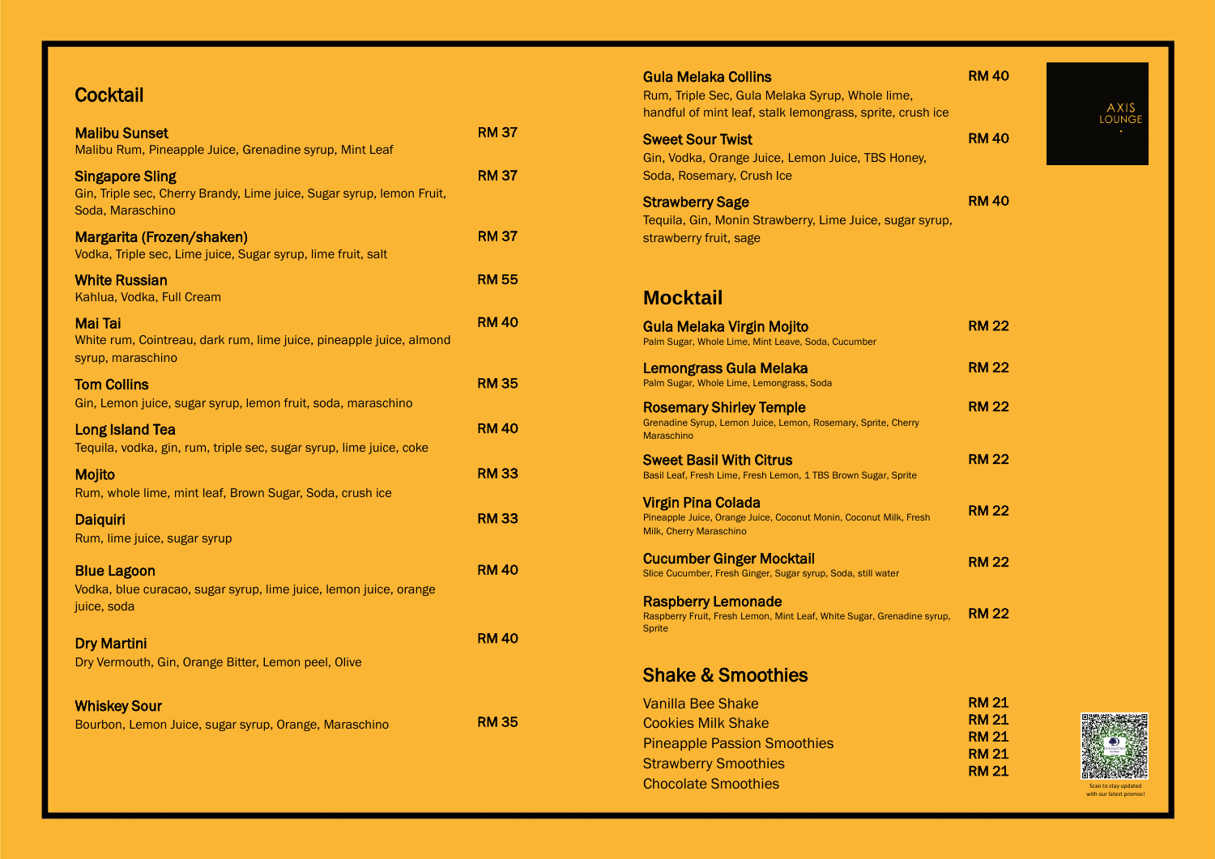# **Cocktail**

| <b>Malibu Sunset</b><br>Malibu Rum, Pineapple Juice, Grenadine syrup, Mint Leaf                                     | <b>RM 37</b> |
|---------------------------------------------------------------------------------------------------------------------|--------------|
| <b>Singapore Sling</b><br>Gin, Triple sec, Cherry Brandy, Lime juice, Sugar syrup, lemon Fruit,<br>Soda, Maraschino | <b>RM 37</b> |
| Margarita (Frozen/shaken)<br>Vodka, Triple sec, Lime juice, Sugar syrup, lime fruit, salt                           | <b>RM 37</b> |
| <b>White Russian</b><br>Kahlua, Vodka, Full Cream                                                                   | <b>RM 55</b> |
| <b>Mai Tai</b><br>White rum, Cointreau, dark rum, lime juice, pineapple juice, almond<br>syrup, maraschino          | <b>RM 40</b> |
| <b>Tom Collins</b><br>Gin, Lemon juice, sugar syrup, lemon fruit, soda, maraschino                                  | <b>RM 35</b> |
| <b>Long Island Tea</b><br>Tequila, vodka, gin, rum, triple sec, sugar syrup, lime juice, coke                       | <b>RM 40</b> |
| Mojito<br>Rum, whole lime, mint leaf, Brown Sugar, Soda, crush ice                                                  | <b>RM33</b>  |
| <b>Daiquiri</b><br>Rum, lime juice, sugar syrup                                                                     | <b>RM33</b>  |
| <b>Blue Lagoon</b><br>Vodka, blue curacao, sugar syrup, lime juice, lemon juice, orange<br>juice, soda              | <b>RM 40</b> |
| <b>Dry Martini</b><br>Dry Vermouth, Gin, Orange Bitter, Lemon peel, Olive                                           | <b>RM 40</b> |
| <b>Whiskey Sour</b><br>Bourbon, Lemon Juice, sugar syrup, Orange, Maraschino                                        | <b>RM 35</b> |

| Gula Melaka Collins<br>Rum, Triple Sec, Gula Melaka Syrup, Whole lime,<br>handful of mint leaf, stalk lemongrass, sprite, crush ice | <b>RM 40</b>                 | AXIS<br>LOUNGE                                  |
|-------------------------------------------------------------------------------------------------------------------------------------|------------------------------|-------------------------------------------------|
| <b>Sweet Sour Twist</b><br>Gin, Vodka, Orange Juice, Lemon Juice, TBS Honey,<br>Soda, Rosemary, Crush Ice                           | <b>RM 40</b>                 |                                                 |
| <b>Strawberry Sage</b><br>Tequila, Gin, Monin Strawberry, Lime Juice, sugar syrup,<br>strawberry fruit, sage                        | <b>RM40</b>                  |                                                 |
| <b>Mocktail</b>                                                                                                                     |                              |                                                 |
| Gula Melaka Virgin Mojito<br>Palm Sugar, Whole Lime, Mint Leave, Soda, Cucumber                                                     | <b>RM 22</b>                 |                                                 |
| Lemongrass Gula Melaka<br>Palm Sugar, Whole Lime, Lemongrass, Soda                                                                  | <b>RM 22</b>                 |                                                 |
| <b>Rosemary Shirley Temple</b><br>Grenadine Syrup, Lemon Juice, Lemon, Rosemary, Sprite, Cherry<br><b>Maraschino</b>                | <b>RM 22</b>                 |                                                 |
| Sweet Basil With Citrus<br>Basil Leaf, Fresh Lime, Fresh Lemon, 1 TBS Brown Sugar, Sprite                                           | <b>RM 22</b>                 |                                                 |
| Virgin Pina Colada<br>Pineapple Juice, Orange Juice, Coconut Monin, Coconut Milk, Fresh<br>Milk, Cherry Maraschino                  | <b>RM 22</b>                 |                                                 |
| <b>Cucumber Ginger Mocktail</b><br>Slice Cucumber, Fresh Ginger, Sugar syrup, Soda, still water                                     | <b>RM 22</b>                 |                                                 |
| <b>Raspberry Lemonade</b><br>Raspberry Fruit, Fresh Lemon, Mint Leaf, White Sugar, Grenadine syrup,<br>Sprite                       | <b>RM 22</b>                 |                                                 |
| <b>Shake &amp; Smoothies</b>                                                                                                        |                              |                                                 |
| Vanilla Bee Shake<br><b>Cookies Milk Shake</b>                                                                                      | <b>RM 21</b><br><b>RM 21</b> |                                                 |
| <b>Pineapple Passion Smoothies</b>                                                                                                  | <b>RM 21</b>                 |                                                 |
| <b>Strawberry Smoothies</b>                                                                                                         | <b>RM 21</b><br><b>RM 21</b> |                                                 |
| <b>Chocolate Smoothies</b>                                                                                                          |                              | Scan to stay updated<br>with our latest promos! |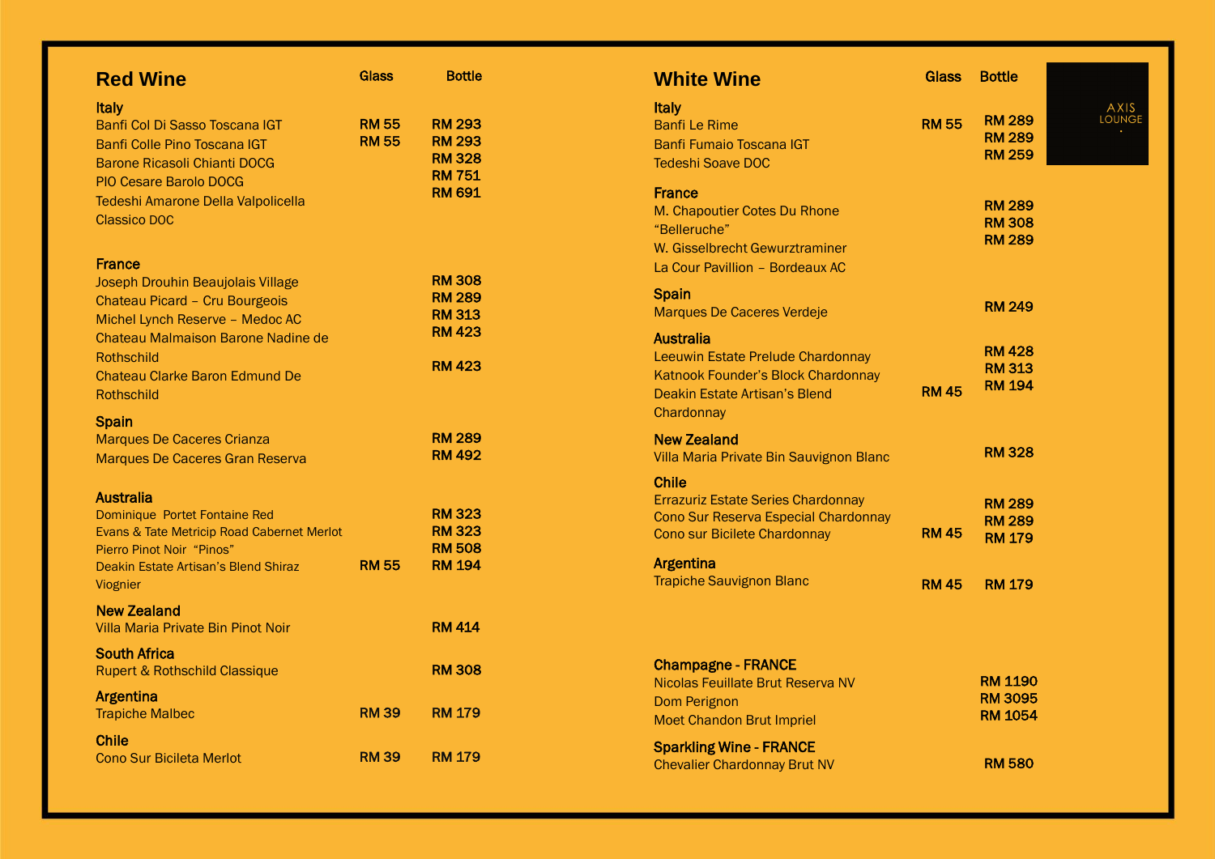| <b>Red Wine</b>                                                                                                                                                                                                                                  | <b>Glass</b>                 | <b>Bottle</b>                                                                     |
|--------------------------------------------------------------------------------------------------------------------------------------------------------------------------------------------------------------------------------------------------|------------------------------|-----------------------------------------------------------------------------------|
| <b>Italy</b><br>Banfi Col Di Sasso Toscana IGT<br>Banfi Colle Pino Toscana IGT<br><b>Barone Ricasoli Chianti DOCG</b><br><b>PIO Cesare Barolo DOCG</b><br>Tedeshi Amarone Della Valpolicella<br><b>Classico DOC</b>                              | <b>RM 55</b><br><b>RM 55</b> | <b>RM 293</b><br><b>RM 293</b><br><b>RM 328</b><br><b>RM 751</b><br><b>RM 691</b> |
| <b>France</b><br>Joseph Drouhin Beaujolais Village<br>Chateau Picard - Cru Bourgeois<br>Michel Lynch Reserve - Medoc AC<br>Chateau Malmaison Barone Nadine de<br><b>Rothschild</b><br><b>Chateau Clarke Baron Edmund De</b><br><b>Rothschild</b> |                              | <b>RM 308</b><br><b>RM 289</b><br><b>RM 313</b><br><b>RM 423</b><br><b>RM 423</b> |
| <b>Spain</b><br><b>Marques De Caceres Crianza</b><br><b>Marques De Caceres Gran Reserva</b>                                                                                                                                                      |                              | <b>RM 289</b><br><b>RM 492</b>                                                    |
| <b>Australia</b><br>Dominique Portet Fontaine Red<br>Evans & Tate Metricip Road Cabernet Merlot<br>Pierro Pinot Noir "Pinos"<br>Deakin Estate Artisan's Blend Shiraz<br>Viognier                                                                 | <b>RM 55</b>                 | <b>RM 323</b><br><b>RM 323</b><br><b>RM 508</b><br><b>RM 194</b>                  |
| <b>New Zealand</b><br>Villa Maria Private Bin Pinot Noir                                                                                                                                                                                         |                              | <b>RM 414</b>                                                                     |
| <b>South Africa</b><br><b>Rupert &amp; Rothschild Classique</b>                                                                                                                                                                                  |                              | <b>RM 308</b>                                                                     |
| <b>Argentina</b><br><b>Trapiche Malbec</b>                                                                                                                                                                                                       | <b>RM 39</b>                 | <b>RM 179</b>                                                                     |
| <b>Chile</b><br><b>Cono Sur Bicileta Merlot</b>                                                                                                                                                                                                  | <b>RM 39</b>                 | <b>RM 179</b>                                                                     |

| <b>White Wine</b>                                                                                                                          | Glass        | <b>Bottle</b>                                   |
|--------------------------------------------------------------------------------------------------------------------------------------------|--------------|-------------------------------------------------|
| <b>Italy</b><br><b>Banfi Le Rime</b><br><b>Banfi Fumaio Toscana IGT</b><br><b>Tedeshi Soave DOC</b>                                        | <b>RM 55</b> | <b>RM 289</b><br><b>RM 289</b><br><b>RM 259</b> |
| <b>France</b><br>M. Chapoutier Cotes Du Rhone<br>"Belleruche"<br>W. Gisselbrecht Gewurztraminer<br>La Cour Pavillion - Bordeaux AC         |              | <b>RM 289</b><br><b>RM 308</b><br><b>RM 289</b> |
| <b>Spain</b><br><b>Marques De Caceres Verdeje</b>                                                                                          |              | <b>RM 249</b>                                   |
| <b>Australia</b><br>Leeuwin Estate Prelude Chardonnay<br>Katnook Founder's Block Chardonnay<br>Deakin Estate Artisan's Blend<br>Chardonnay | <b>RM45</b>  | <b>RM 428</b><br><b>RM 313</b><br><b>RM 194</b> |
| <b>New Zealand</b><br>Villa Maria Private Bin Sauvignon Blanc                                                                              |              | <b>RM 328</b>                                   |
| <b>Chile</b><br><b>Errazuriz Estate Series Chardonnay</b><br>Cono Sur Reserva Especial Chardonnay<br><b>Cono sur Bicilete Chardonnay</b>   | <b>RM 45</b> | <b>RM 289</b><br><b>RM 289</b><br><b>RM 179</b> |
| <b>Argentina</b><br><b>Trapiche Sauvignon Blanc</b>                                                                                        | <b>RM 45</b> | <b>RM 179</b>                                   |

|              | Glass Bottle                                       |                       |
|--------------|----------------------------------------------------|-----------------------|
| <b>RM 55</b> | <b>RM 289</b><br><b>RM 289</b><br><b>RM 259</b>    | AXIS<br><b>LOUNGE</b> |
|              | <b>RM 289</b><br><b>RM 308</b><br><b>RM 289</b>    |                       |
|              | <b>RM 249</b>                                      |                       |
| <b>RM 45</b> | <b>RM 428</b><br><b>RM 313</b><br><b>RM 194</b>    |                       |
|              | <b>RM 328</b>                                      |                       |
| <b>RM 45</b> | <b>RM 289</b><br><b>RM 289</b><br><b>RM 179</b>    |                       |
|              | RM 45 RM 179                                       |                       |
|              |                                                    |                       |
|              | <b>RM 1190</b><br><b>RM 3095</b><br><b>RM 1054</b> |                       |
|              | <b>RM 580</b>                                      |                       |

Nicolas Feuillate Brut Reserva NV Dom Perignon Moet Chandon Brut Impriel

Sparkling Wine - FRANCE Chevalier Chardonnay Brut NV